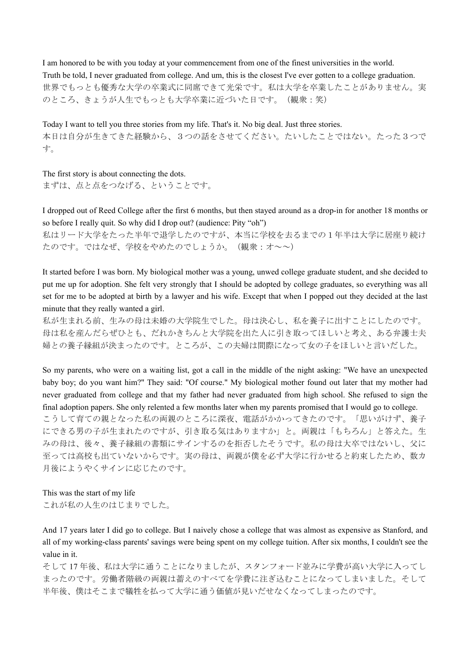I am honored to be with you today at your commencement from one of the finest universities in the world. Truth be told, I never graduated from college. And um, this is the closest I've ever gotten to a college graduation. 世界でもっとも優秀な大学の卒業式に同席できて光栄です。私は大学を卒業したことがありません。実 のところ、きょうが人生でもっとも大学卒業に近づいた日です。(観衆:笑)

Today I want to tell you three stories from my life. That's it. No big deal. Just three stories. 本日は自分が生きてきた経験から、3つの話をさせてください。たいしたことではない。たった3つで す。

The first story is about connecting the dots. まずは、点と点をつなげる、ということです。

I dropped out of Reed College after the first 6 months, but then stayed around as a drop-in for another 18 months or so before I really quit. So why did I drop out? (audience: Pity "oh")

私はリード大学をたった半年で退学したのですが、本当に学校を去るまでの1年半は大学に居座り続け たのです。ではなぜ、学校をやめたのでしょうか。(観衆:オ~~)

It started before I was born. My biological mother was a young, unwed college graduate student, and she decided to put me up for adoption. She felt very strongly that I should be adopted by college graduates, so everything was all set for me to be adopted at birth by a lawyer and his wife. Except that when I popped out they decided at the last minute that they really wanted a girl.

私が生まれる前、生みの母は未婚の大学院生でした。母は決心し、私を養子に出すことにしたのです。 母は私を産んだらぜひとも、だれかきちんと大学院を出た人に引き取ってほしいと考え、ある弁護士夫 婦との養子縁組が決まったのです。ところが、この夫婦は間際になって女の子をほしいと言いだした。

So my parents, who were on a waiting list, got a call in the middle of the night asking: "We have an unexpected baby boy; do you want him?" They said: "Of course." My biological mother found out later that my mother had never graduated from college and that my father had never graduated from high school. She refused to sign the final adoption papers. She only relented a few months later when my parents promised that I would go to college.

こうして育ての親となった私の両親のところに深夜、電話がかかってきたのです。「思いがけず、養子 にできる男の子が生まれたのですが、引き取る気はありますか」と。両親は「もちろん」と答えた。生 みの母は、後々、養子縁組の書類にサインするのを拒否したそうです。私の母は大卒ではないし、父に 至っては高校も出ていないからです。実の母は、両親が僕を必ず大学に行かせると約束したため、数カ 月後にようやくサインに応じたのです。

This was the start of my life これが私の人生のはじまりでした。

And 17 years later I did go to college. But I naively chose a college that was almost as expensive as Stanford, and all of my working-class parents' savings were being spent on my college tuition. After six months, I couldn't see the value in it.

そして 17 年後、私は大学に通うことになりましたが、スタンフォード並みに学費が高い大学に入ってし まったのです。労働者階級の両親は蓄えのすべてを学費に注ぎ込むことになってしまいました。そして 半年後、僕はそこまで犠牲を払って大学に通う価値が見いだせなくなってしまったのです。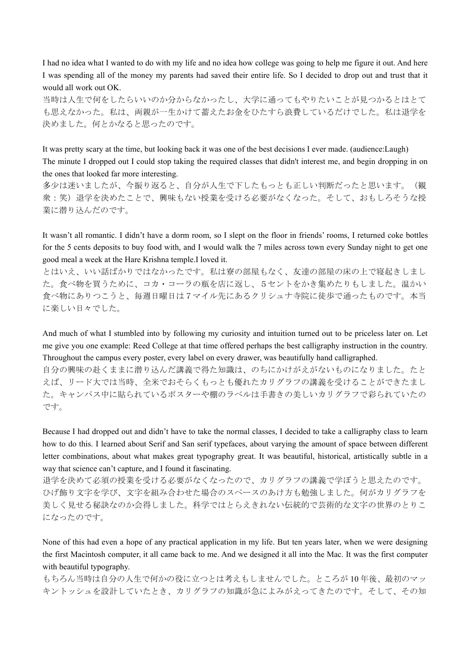I had no idea what I wanted to do with my life and no idea how college was going to help me figure it out. And here I was spending all of the money my parents had saved their entire life. So I decided to drop out and trust that it would all work out OK.

当時は人生で何をしたらいいのか分からなかったし、大学に通ってもやりたいことが見つかるとはとて も思えなかった。私は、両親が一生かけて蓄えたお金をひたすら浪費しているだけでした。私は退学を 決めました。何とかなると思ったのです。

It was pretty scary at the time, but looking back it was one of the best decisions I ever made. (audience:Laugh) The minute I dropped out I could stop taking the required classes that didn't interest me, and begin dropping in on the ones that looked far more interesting.

多少は迷いましたが、今振り返ると、自分が人生で下したもっとも正しい判断だったと思います。(観 衆:笑)退学を決めたことで、興味もない授業を受ける必要がなくなった。そして、おもしろそうな授 業に潜り込んだのです。

It wasn't all romantic. I didn't have a dorm room, so I slept on the floor in friends' rooms, I returned coke bottles for the 5 cents deposits to buy food with, and I would walk the 7 miles across town every Sunday night to get one good meal a week at the Hare Krishna temple.I loved it.

とはいえ、いい話ばかりではなかったです。私は寮の部屋もなく、友達の部屋の床の上で寝起きしまし た。食べ物を買うために、コカ・コーラの瓶を店に返し、5セントをかき集めたりもしました。温かい 食べ物にありつこうと、毎週日曜日は7マイル先にあるクリシュナ寺院に徒歩で通ったものです。本当 に楽しい日々でした。

And much of what I stumbled into by following my curiosity and intuition turned out to be priceless later on. Let me give you one example: Reed College at that time offered perhaps the best calligraphy instruction in the country. Throughout the campus every poster, every label on every drawer, was beautifully hand calligraphed.

自分の興味の赴くままに潜り込んだ講義で得た知識は、のちにかけがえがないものになりました。たと えば、リード大では当時、全米でおそらくもっとも優れたカリグラフの講義を受けることができたまし た。キャンパス中に貼られているポスターや棚のラベルは手書きの美しいカリグラフで彩られていたの です。

Because I had dropped out and didn't have to take the normal classes, I decided to take a calligraphy class to learn how to do this. I learned about Serif and San serif typefaces, about varying the amount of space between different letter combinations, about what makes great typography great. It was beautiful, historical, artistically subtle in a way that science can't capture, and I found it fascinating.

退学を決めて必須の授業を受ける必要がなくなったので、カリグラフの講義で学ぼうと思えたのです。 ひげ飾り文字を学び、文字を組み合わせた場合のスペースのあけ方も勉強しました。何がカリグラフを 美しく見せる秘訣なのか会得しました。科学ではとらえきれない伝統的で芸術的な文字の世界のとりこ になったのです。

None of this had even a hope of any practical application in my life. But ten years later, when we were designing the first Macintosh computer, it all came back to me. And we designed it all into the Mac. It was the first computer with beautiful typography.

もちろん当時は自分の人生で何かの役に立つとは考えもしませんでした。ところが 10 年後、最初のマッ キントッシュを設計していたとき、カリグラフの知識が急によみがえってきたのです。そして、その知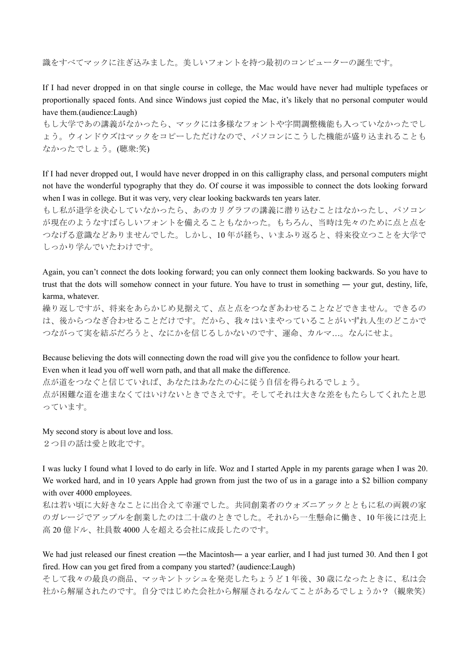識をすべてマックに注ぎ込みました。美しいフォントを持つ最初のコンピューターの誕生です。

If I had never dropped in on that single course in college, the Mac would have never had multiple typefaces or proportionally spaced fonts. And since Windows just copied the Mac, it's likely that no personal computer would have them.(audience:Laugh)

もし大学であの講義がなかったら、マックには多様なフォントや字間調整機能も入っていなかったでし ょう。ウィンドウズはマックをコピーしただけなので、パソコンにこうした機能が盛り込まれることも なかったでしょう。(聴衆:笑)

If I had never dropped out, I would have never dropped in on this calligraphy class, and personal computers might not have the wonderful typography that they do. Of course it was impossible to connect the dots looking forward when I was in college. But it was very, very clear looking backwards ten years later.

もし私が退学を決心していなかったら、あのカリグラフの講義に潜り込むことはなかったし、パソコン が現在のようなすばらしいフォントを備えることもなかった。もちろん、当時は先々のために点と点を つなげる意識などありませんでした。しかし、10 年が経ち、いまふり返ると、将来役立つことを大学で しっかり学んでいたわけです。

Again, you can't connect the dots looking forward; you can only connect them looking backwards. So you have to trust that the dots will somehow connect in your future. You have to trust in something ― your gut, destiny, life, karma, whatever.

繰り返しですが、将来をあらかじめ見据えて、点と点をつなぎあわせることなどできません。できるの は、後からつなぎ合わせることだけです。だから、我々はいまやっていることがいずれ人生のどこかで つながって実を結ぶだろうと、なにかを信じるしかないのです、運命、カルマ…。なんにせよ。

Because believing the dots will connecting down the road will give you the confidence to follow your heart. Even when it lead you off well worn path, and that all make the difference.

点が道をつなぐと信じていれば、あなたはあなたの心に従う自信を得られるでしょう。 点が困難な道を進まなくてはいけないときでさえです。そしてそれは大きな差をもたらしてくれたと思 っています。

My second story is about love and loss. 2つ目の話は愛と敗北です。

I was lucky I found what I loved to do early in life. Woz and I started Apple in my parents garage when I was 20. We worked hard, and in 10 years Apple had grown from just the two of us in a garage into a \$2 billion company with over 4000 employees.

私は若い頃に大好きなことに出合えて幸運でした。共同創業者のウォズニアックとともに私の両親の家 のガレージでアップルを創業したのは二十歳のときでした。それから一生懸命に働き、10 年後には売上 高 20 億ドル、社員数 4000 人を超える会社に成長したのです。

We had just released our finest creation —the Macintosh— a year earlier, and I had just turned 30. And then I got fired. How can you get fired from a company you started? (audience:Laugh)

そして我々の最良の商品、マッキントッシュを発売したちょうど1年後、30 歳になったときに、私は会 社から解雇されたのです。自分ではじめた会社から解雇されるなんてことがあるでしょうか?(観衆笑)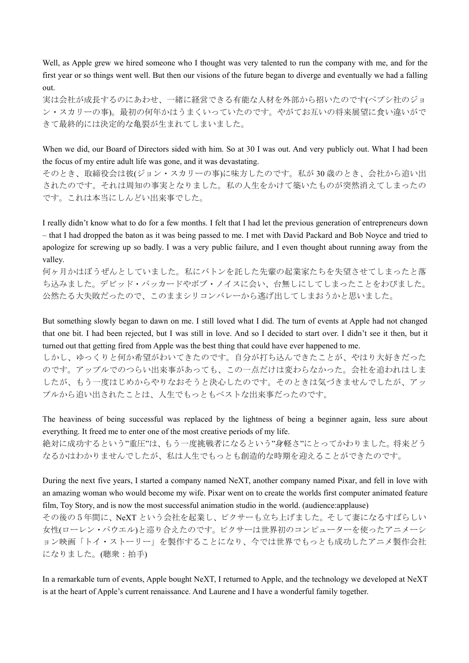Well, as Apple grew we hired someone who I thought was very talented to run the company with me, and for the first year or so things went well. But then our visions of the future began to diverge and eventually we had a falling out.

実は会社が成長するのにあわせ、一緒に経営できる有能な人材を外部から招いたのです(ペプシ社のジョ ン・スカリーの事)。最初の何年かはうまくいっていたのです。やがてお互いの将来展望に食い違いがで きて最終的には決定的な亀裂が生まれてしまいました。

When we did, our Board of Directors sided with him. So at 30 I was out. And very publicly out. What I had been the focus of my entire adult life was gone, and it was devastating.

そのとき、取締役会は彼(ジョン・スカリーの事)に味方したのです。私が 30 歳のとき、会社から追い出 されたのです。それは周知の事実となりました。私の人生をかけて築いたものが突然消えてしまったの です。これは本当にしんどい出来事でした。

I really didn't know what to do for a few months. I felt that I had let the previous generation of entrepreneurs down – that I had dropped the baton as it was being passed to me. I metwith David Packard and Bob Noyce and tried to apologize for screwing up so badly. I was a very public failure, and I even thought about running away from the valley.

何ヶ月かはぼうぜんとしていました。私にバトンを託した先輩の起業家たちを失望させてしまったと落 ち込みました。デビッド・パッカードやボブ・ノイスに会い、台無しにしてしまったことをわびました。 公然たる大失敗だったので、このままシリコンバレーから逃げ出してしまおうかと思いました。

But something slowly began to dawn on me. I still loved what I did.The turn of events at Apple had not changed that one bit. I had been rejected, but I was still in love. And so I decided to start over. I didn't see it then, but it turned out that getting fired from Apple was the best thing that could have ever happened to me.

しかし、ゆっくりと何か希望がわいてきたのです。自分が打ち込んできたことが、やはり大好きだった のです。アップルでのつらい出来事があっても、この一点だけは変わらなかった。会社を追われはしま したが、もう一度はじめからやりなおそうと決心したのです。そのときは気づきませんでしたが、アッ プルから追い出されたことは、人生でもっともベストな出来事だったのです。

The heaviness of being successful was replaced by the lightness of being a beginner again, less sure about everything. It freed me to enter one of the most creative periods of my life.

絶対に成功するという"重圧"は、もう一度挑戦者になるという"身軽さ"にとってかわりました。将来どう なるかはわかりませんでしたが、私は人生でもっとも創造的な時期を迎えることができたのです。

During the next five years, I started a company named NeXT, another company named Pixar, and fell in love with an amazing woman who would become my wife. Pixar went on to create the worlds first computer animated feature film, Toy Story, and is now the most successful animation studio in the world. (audience:applause)

その後の5年間に、NeXT という会社を起業し、ピクサーも立ち上げました。そして妻になるすばらしい 女性(ローレン・パウエル)と巡り合えたのです。ピクサーは世界初のコンピューターを使ったアニメーシ ョン映画「トイ・ストーリー」を製作することになり、今では世界でもっとも成功したアニメ製作会社 になりました。(聴衆:拍手)

In a remarkable turn of events, Apple bought NeXT, I returned to Apple, and the technology we developed at NeXT is at the heart of Apple's current renaissance. And Laurene and I have a wonderful family together.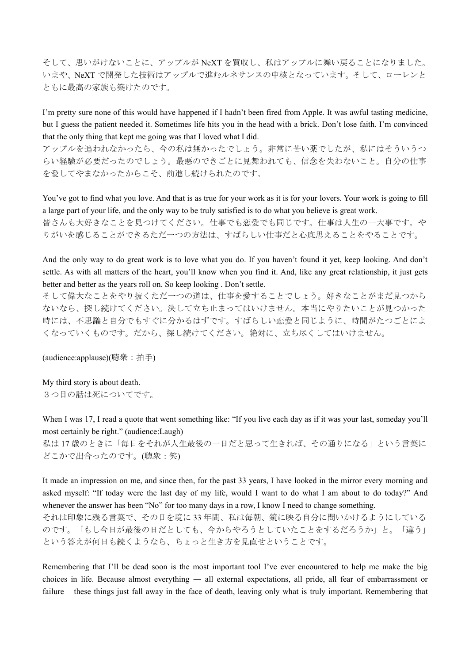そして、思いがけないことに、アップルが NeXT を買収し、私はアップルに舞い戻ることになりました。 いまや、NeXT で開発した技術はアップルで進むルネサンスの中核となっています。そして、ローレンと ともに最高の家族も築けたのです。

I'm pretty sure none of this would have happened if I hadn't been fired from Apple. It was awful tasting medicine, but I guess the patient needed it. Sometimes life hits you in the head with a brick. Don't lose faith. I'm convinced that the only thing that kept me going was that I loved what I did.

アップルを追われなかったら、今の私は無かったでしょう。非常に苦い薬でしたが、私にはそういうつ らい経験が必要だったのでしょう。最悪のできごとに見舞われても、信念を失わないこと。自分の仕事 を愛してやまなかったからこそ、前進し続けられたのです。

You've got to find what you love. And that is as true for your work as it is for your lovers. Your work is going to fill a large part of your life, and the only way to be truly satisfied is to do what you believe is great work. 皆さんも大好きなことを見つけてください。仕事でも恋愛でも同じです。仕事は人生の一大事です。や

りがいを感じることができるただ一つの方法は、すばらしい仕事だと心底思えることをやることです。

And the only way to do great work is to love what you do. If you haven't found it yet, keep looking. And don't settle. As with all matters of the heart, you'll know when you find it. And, like any great relationship, it just gets better and better as the years roll on. So keep looking . Don't settle.

そして偉大なことをやり抜くただ一つの道は、仕事を愛することでしょう。好きなことがまだ見つから ないなら、探し続けてください。決して立ち止まってはいけません。本当にやりたいことが見つかった 時には、不思議と自分でもすぐに分かるはずです。すばらしい恋愛と同じように、時間がたつごとによ くなっていくものです。だから、探し続けてください。絶対に、立ち尽くしてはいけません。

(audience:applause)(聴衆:拍手)

My third story is about death. 3つ目の話は死についてです。

When I was 17, I read a quote that went something like: "If you live each day as if it was your last, someday you'll most certainly be right." (audience:Laugh)

私は 17 歳のときに「毎日をそれが人生最後の一日だと思って生きれば、その通りになる」という言葉に どこかで出合ったのです。(聴衆:笑)

It made an impression on me, and since then, for the past 33 years, I have looked in the mirror every morning and asked myself: "If today were the last day of my life, would I want to do what I am about to do today?" And whenever the answer has been "No" for too many days in a row, I know I need to change something. それは印象に残る言葉で、その日を境に 33 年間、私は毎朝、鏡に映る自分に問いかけるようにしている のです。「もし今日が最後の日だとしても、今からやろうとしていたことをするだろうか」と。「違う」

という答えが何日も続くようなら、ちょっと生き方を見直せということです。

Remembering that I'll be dead soon is the most important tool I've ever encountered to help me make the big choices in life. Because almost everything ― all external expectations, all pride, all fear of embarrassment or failure – these things just fall away in the face of death, leaving only what is truly important. Remembering that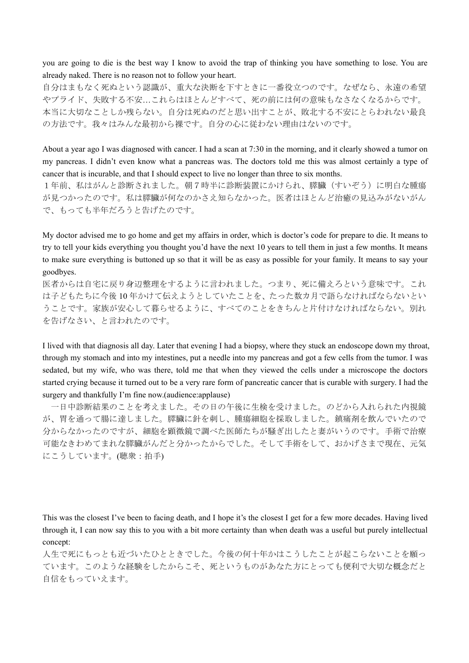you are going to die is the best way I know to avoid the trap of thinking you have something to lose. You are already naked. There is no reason not to follow your heart.

自分はまもなく死ぬという認識が、重大な決断を下すときに一番役立つのです。なぜなら、永遠の希望 やプライド、失敗する不安…これらはほとんどすべて、死の前には何の意味もなさなくなるからです。 本当に大切なことしか残らない。自分は死ぬのだと思い出すことが、敗北する不安にとらわれない最良 の方法です。我々はみんな最初から裸です。自分の心に従わない理由はないのです。

About a year ago I was diagnosed with cancer. I had a scan at 7:30 in the morning, and it clearly showed a tumor on my pancreas. I didn't even know what a pancreas was. The doctors told me this was almost certainly a type of cancer that is incurable, and that I should expect to live no longer than three to six months.

1年前、私はがんと診断されました。朝7時半に診断装置にかけられ、膵臓(すいぞう)に明白な腫瘍 が見つかったのです。私は膵臓が何なのかさえ知らなかった。医者はほとんど治癒の見込みがないがん で、もっても半年だろうと告げたのです。

My doctor advised me to go home and get my affairs in order, which is doctor's code for prepare to die. It means to try to tell your kids everything you thought you'd have the next 10 years to tell them in just a few months. It means to make sure everything is buttoned up so that it will be as easy as possible for your family. It means to say your goodbyes.

医者からは自宅に戻り身辺整理をするように言われました。つまり、死に備えろという意味です。これ は子どもたちに今後 10 年かけて伝えようとしていたことを、たった数カ月で語らなければならないとい うことです。家族が安心して暮らせるように、すべてのことをきちんと片付けなければならない。別れ を告げなさい、と言われたのです。

I lived with that diagnosis all day. Later that evening I had a biopsy, where they stuck an endoscope down my throat, through my stomach and into my intestines, put a needle into my pancreas and got a few cells from the tumor. I was sedated, but my wife, who was there, told me that when they viewed the cells under a microscope the doctors started crying because it turned out to be a very rare form of pancreatic cancer that is curable with surgery. I had the surgery and thankfully I'm fine now.(audience:applause)

一日中診断結果のことを考えました。その日の午後に生検を受けました。のどから入れられた内視鏡 が、胃を通って腸に達しました。膵臓に針を刺し、腫瘍細胞を採取しました。鎮痛剤を飲んでいたので 分からなかったのですが、細胞を顕微鏡で調べた医師たちが騒ぎ出したと妻がいうのです。手術で治療 可能なきわめてまれな膵臓がんだと分かったからでした。そして手術をして、おかげさまで現在、元気 にこうしています。(聴衆:拍手)

This was the closest I've been to facing death, and I hope it's the closest I get for a few more decades.Having lived through it, I can now say this to you with a bit more certainty than when death was a useful but purely intellectual concept:

人生で死にもっとも近づいたひとときでした。今後の何十年かはこうしたことが起こらないことを願っ ています。このような経験をしたからこそ、死というものがあなた方にとっても便利で大切な概念だと 自信をもっていえます。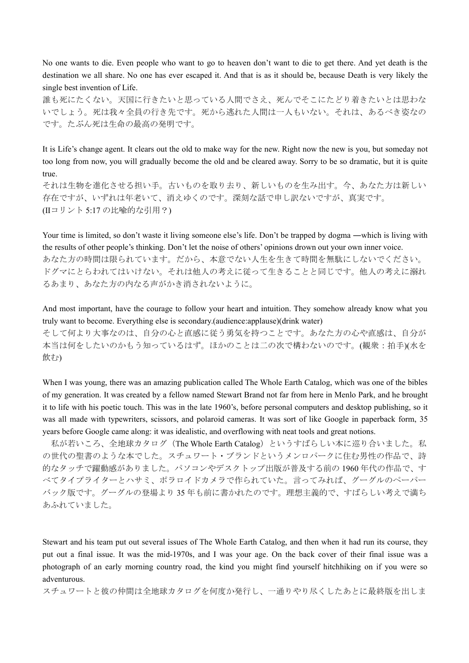No one wants to die. Even people who want to go to heaven don't want to die to getthere. And yet death is the destination we all share. No one has ever escaped it. And that is as it should be, because Death is very likely the single best invention of Life.

誰も死にたくない。天国に行きたいと思っている人間でさえ、死んでそこにたどり着きたいとは思わな いでしょう。死は我々全員の行き先です。死から逃れた人間は一人もいない。それは、あるべき姿なの です。たぶん死は生命の最高の発明です。

It is Life's change agent. It clears out the old to make way for the new. Right now the new is you, but someday not too long from now, you will gradually become the old and be cleared away. Sorry to be so dramatic, but it is quite true.

それは生物を進化させる担い手。古いものを取り去り、新しいものを生み出す。今、あなた方は新しい 存在ですが、いずれは年老いて、消えゆくのです。深刻な話で申し訳ないですが、真実です。 (Ⅱコリント 5:17 の比喩的な引用?)

Your time is limited, so don't waste it living someone else's life. Don't be trapped by dogma —which is living with the results of other people's thinking. Don't let the noise of others' opinions drown out your own inner voice. あなた方の時間は限られています。だから、本意でない人生を生きて時間を無駄にしないでください。 ドグマにとらわれてはいけない。それは他人の考えに従って生きることと同じです。他人の考えに溺れ るあまり、あなた方の内なる声がかき消されないように。

And most important, have the courage to follow your heart and intuition. They somehow already know what you truly want to become. Everything else is secondary.(audience:applause)(drink water)

そして何より大事なのは、自分の心と直感に従う勇気を持つことです。あなた方の心や直感は、自分が 本当は何をしたいのかもう知っているはず。ほかのことは二の次で構わないのです。(観衆:拍手)(水を 飲む)

When I was young, there was an amazing publication called The Whole Earth Catalog, which was one of the bibles of my generation.It was created by a fellow named Stewart Brand not far from here in Menlo Park, and he brought it to life with his poetic touch. This was in the late 1960's, before personal computers and desktop publishing, so it was all made with typewriters, scissors, and polaroid cameras. It was sort of like Google in paperback form, 35 years before Google came along: it was idealistic, and overflowing with neat tools and great notions.

私が若いころ、全地球カタログ(The Whole Earth Catalog)というすばらしい本に巡り合いました。私 の世代の聖書のような本でした。スチュワート・ブランドというメンロパークに住む男性の作品で、詩 的なタッチで躍動感がありました。パソコンやデスクトップ出版が普及する前の 1960 年代の作品で、す べてタイプライターとハサミ、ポラロイドカメラで作られていた。言ってみれば、グーグルのペーパー バック版です。グーグルの登場より 35 年も前に書かれたのです。理想主義的で、すばらしい考えで満ち あふれていました。

Stewart and his team put out several issues of The Whole Earth Catalog, and then when it had run its course, they put out a final issue. It was the mid-1970s, and I was your age. On the back cover of their final issue was a photograph of an early morning country road, the kind you might find yourself hitchhiking on if you were so adventurous.

スチュワートと彼の仲間は全地球カタログを何度か発行し、一通りやり尽くしたあとに最終版を出しま